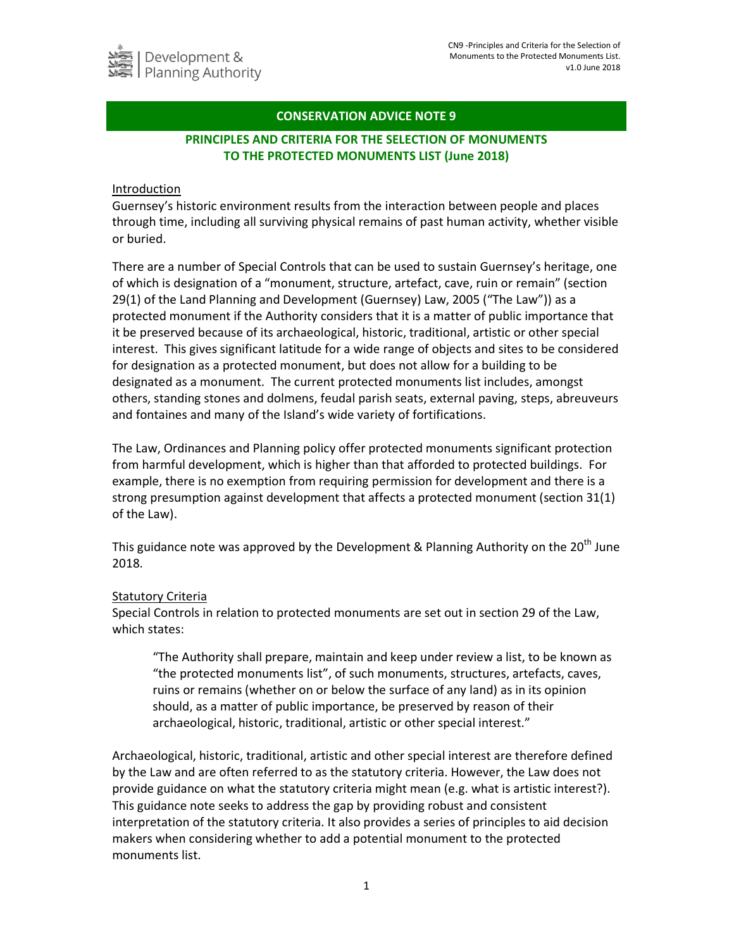# **CONSERVATION ADVICE NOTE 9**

# **PRINCIPLES AND CRITERIA FOR THE SELECTION OF MONUMENTS TO THE PROTECTED MONUMENTS LIST (June 2018)**

#### Introduction

Guernsey's historic environment results from the interaction between people and places through time, including all surviving physical remains of past human activity, whether visible or buried.

There are a number of Special Controls that can be used to sustain Guernsey's heritage, one of which is designation of a "monument, structure, artefact, cave, ruin or remain" (section 29(1) of the Land Planning and Development (Guernsey) Law, 2005 ("The Law")) as a protected monument if the Authority considers that it is a matter of public importance that it be preserved because of its archaeological, historic, traditional, artistic or other special interest. This gives significant latitude for a wide range of objects and sites to be considered for designation as a protected monument, but does not allow for a building to be designated as a monument. The current protected monuments list includes, amongst others, standing stones and dolmens, feudal parish seats, external paving, steps, abreuveurs and fontaines and many of the Island's wide variety of fortifications.

The Law, Ordinances and Planning policy offer protected monuments significant protection from harmful development, which is higher than that afforded to protected buildings. For example, there is no exemption from requiring permission for development and there is a strong presumption against development that affects a protected monument (section 31(1) of the Law).

This guidance note was approved by the Development & Planning Authority on the 20<sup>th</sup> June 2018.

### Statutory Criteria

Special Controls in relation to protected monuments are set out in section 29 of the Law, which states:

"The Authority shall prepare, maintain and keep under review a list, to be known as "the protected monuments list", of such monuments, structures, artefacts, caves, ruins or remains (whether on or below the surface of any land) as in its opinion should, as a matter of public importance, be preserved by reason of their archaeological, historic, traditional, artistic or other special interest."

Archaeological, historic, traditional, artistic and other special interest are therefore defined by the Law and are often referred to as the statutory criteria. However, the Law does not provide guidance on what the statutory criteria might mean (e.g. what is artistic interest?). This guidance note seeks to address the gap by providing robust and consistent interpretation of the statutory criteria. It also provides a series of principles to aid decision makers when considering whether to add a potential monument to the protected monuments list.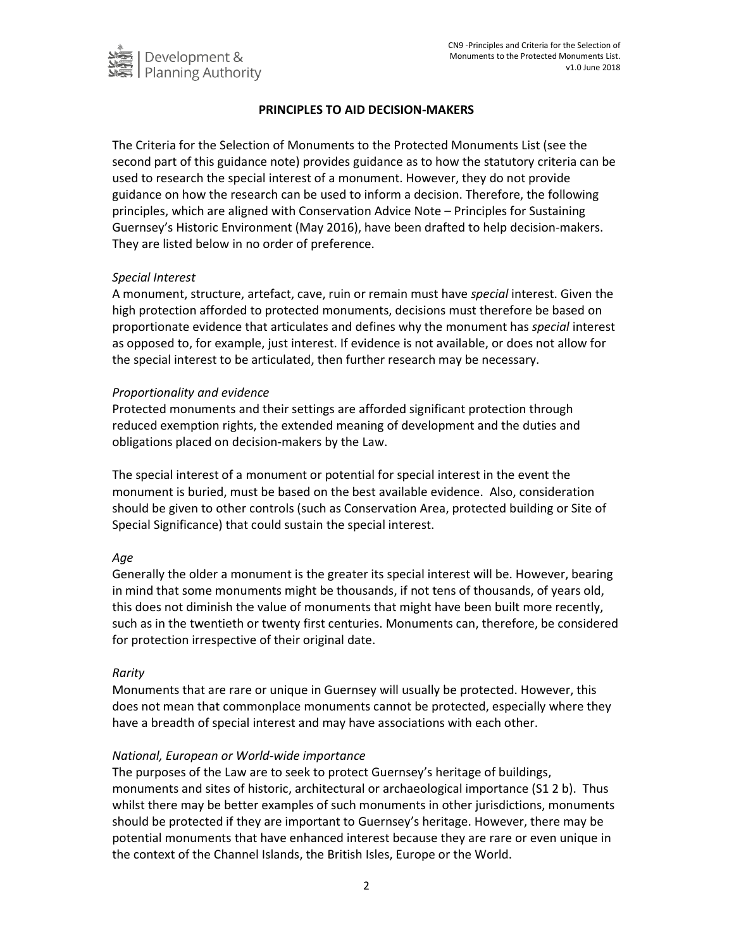

## **PRINCIPLES TO AID DECISION-MAKERS**

The Criteria for the Selection of Monuments to the Protected Monuments List (see the second part of this guidance note) provides guidance as to how the statutory criteria can be used to research the special interest of a monument. However, they do not provide guidance on how the research can be used to inform a decision. Therefore, the following principles, which are aligned with Conservation Advice Note – Principles for Sustaining Guernsey's Historic Environment (May 2016), have been drafted to help decision-makers. They are listed below in no order of preference.

### *Special Interest*

A monument, structure, artefact, cave, ruin or remain must have *special* interest. Given the high protection afforded to protected monuments, decisions must therefore be based on proportionate evidence that articulates and defines why the monument has *special* interest as opposed to, for example, just interest. If evidence is not available, or does not allow for the special interest to be articulated, then further research may be necessary.

### *Proportionality and evidence*

Protected monuments and their settings are afforded significant protection through reduced exemption rights, the extended meaning of development and the duties and obligations placed on decision-makers by the Law.

The special interest of a monument or potential for special interest in the event the monument is buried, must be based on the best available evidence. Also, consideration should be given to other controls (such as Conservation Area, protected building or Site of Special Significance) that could sustain the special interest.

### *Age*

Generally the older a monument is the greater its special interest will be. However, bearing in mind that some monuments might be thousands, if not tens of thousands, of years old, this does not diminish the value of monuments that might have been built more recently, such as in the twentieth or twenty first centuries. Monuments can, therefore, be considered for protection irrespective of their original date.

### *Rarity*

Monuments that are rare or unique in Guernsey will usually be protected. However, this does not mean that commonplace monuments cannot be protected, especially where they have a breadth of special interest and may have associations with each other.

### *National, European or World-wide importance*

The purposes of the Law are to seek to protect Guernsey's heritage of buildings, monuments and sites of historic, architectural or archaeological importance (S1 2 b). Thus whilst there may be better examples of such monuments in other jurisdictions, monuments should be protected if they are important to Guernsey's heritage. However, there may be potential monuments that have enhanced interest because they are rare or even unique in the context of the Channel Islands, the British Isles, Europe or the World.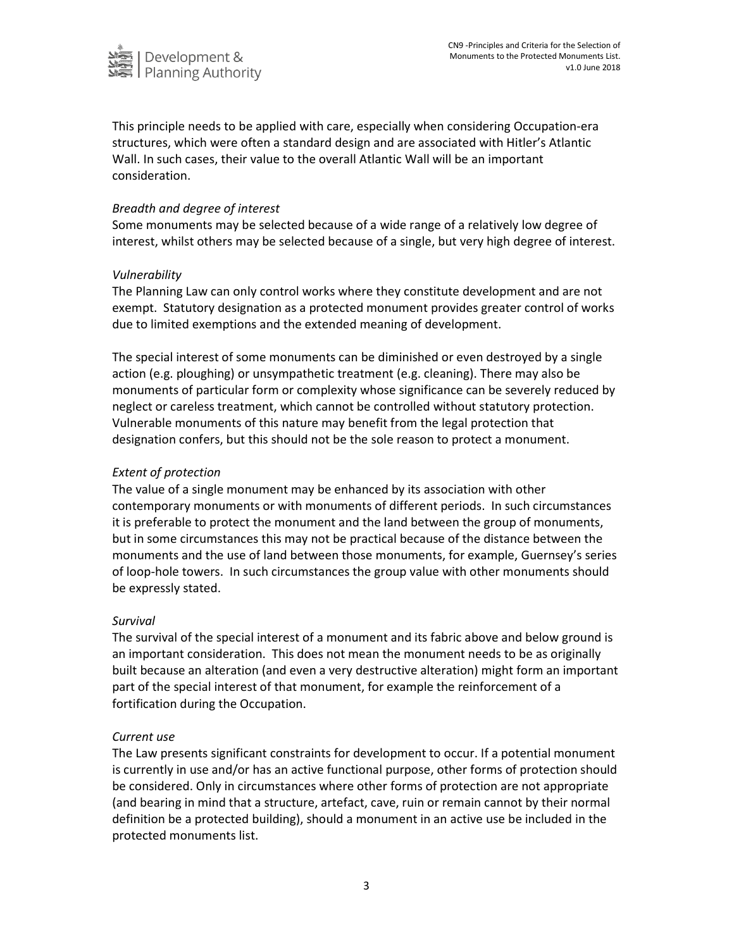

This principle needs to be applied with care, especially when considering Occupation-era structures, which were often a standard design and are associated with Hitler's Atlantic Wall. In such cases, their value to the overall Atlantic Wall will be an important consideration.

### *Breadth and degree of interest*

Some monuments may be selected because of a wide range of a relatively low degree of interest, whilst others may be selected because of a single, but very high degree of interest.

### *Vulnerability*

The Planning Law can only control works where they constitute development and are not exempt. Statutory designation as a protected monument provides greater control of works due to limited exemptions and the extended meaning of development.

The special interest of some monuments can be diminished or even destroyed by a single action (e.g. ploughing) or unsympathetic treatment (e.g. cleaning). There may also be monuments of particular form or complexity whose significance can be severely reduced by neglect or careless treatment, which cannot be controlled without statutory protection. Vulnerable monuments of this nature may benefit from the legal protection that designation confers, but this should not be the sole reason to protect a monument.

### *Extent of protection*

The value of a single monument may be enhanced by its association with other contemporary monuments or with monuments of different periods. In such circumstances it is preferable to protect the monument and the land between the group of monuments, but in some circumstances this may not be practical because of the distance between the monuments and the use of land between those monuments, for example, Guernsey's series of loop-hole towers. In such circumstances the group value with other monuments should be expressly stated.

#### *Survival*

The survival of the special interest of a monument and its fabric above and below ground is an important consideration. This does not mean the monument needs to be as originally built because an alteration (and even a very destructive alteration) might form an important part of the special interest of that monument, for example the reinforcement of a fortification during the Occupation.

#### *Current use*

The Law presents significant constraints for development to occur. If a potential monument is currently in use and/or has an active functional purpose, other forms of protection should be considered. Only in circumstances where other forms of protection are not appropriate (and bearing in mind that a structure, artefact, cave, ruin or remain cannot by their normal definition be a protected building), should a monument in an active use be included in the protected monuments list.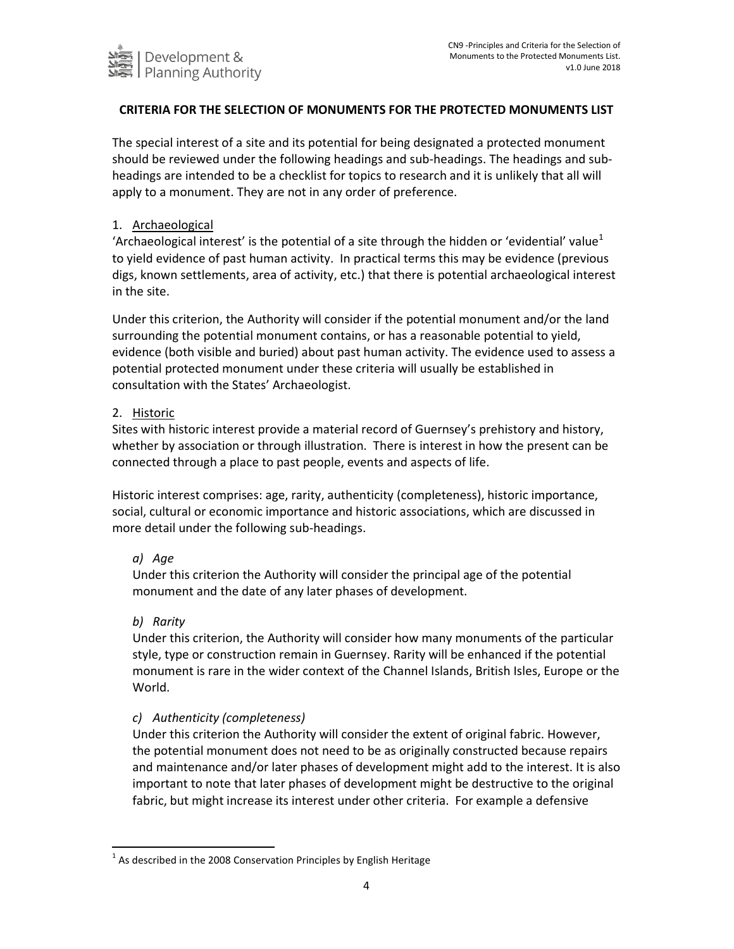

# **CRITERIA FOR THE SELECTION OF MONUMENTS FOR THE PROTECTED MONUMENTS LIST**

The special interest of a site and its potential for being designated a protected monument should be reviewed under the following headings and sub-headings. The headings and subheadings are intended to be a checklist for topics to research and it is unlikely that all will apply to a monument. They are not in any order of preference.

#### 1. Archaeological

'Archaeological interest' is the potential of a site through the hidden or 'evidential' value<sup>1</sup> to yield evidence of past human activity. In practical terms this may be evidence (previous digs, known settlements, area of activity, etc.) that there is potential archaeological interest in the site.

Under this criterion, the Authority will consider if the potential monument and/or the land surrounding the potential monument contains, or has a reasonable potential to yield, evidence (both visible and buried) about past human activity. The evidence used to assess a potential protected monument under these criteria will usually be established in consultation with the States' Archaeologist.

### 2. Historic

Sites with historic interest provide a material record of Guernsey's prehistory and history, whether by association or through illustration. There is interest in how the present can be connected through a place to past people, events and aspects of life.

Historic interest comprises: age, rarity, authenticity (completeness), historic importance, social, cultural or economic importance and historic associations, which are discussed in more detail under the following sub-headings.

### *a) Age*

Under this criterion the Authority will consider the principal age of the potential monument and the date of any later phases of development.

#### *b) Rarity*

 $\overline{a}$ 

Under this criterion, the Authority will consider how many monuments of the particular style, type or construction remain in Guernsey. Rarity will be enhanced if the potential monument is rare in the wider context of the Channel Islands, British Isles, Europe or the World.

### *c) Authenticity (completeness)*

Under this criterion the Authority will consider the extent of original fabric. However, the potential monument does not need to be as originally constructed because repairs and maintenance and/or later phases of development might add to the interest. It is also important to note that later phases of development might be destructive to the original fabric, but might increase its interest under other criteria. For example a defensive

 $1$  As described in the 2008 Conservation Principles by English Heritage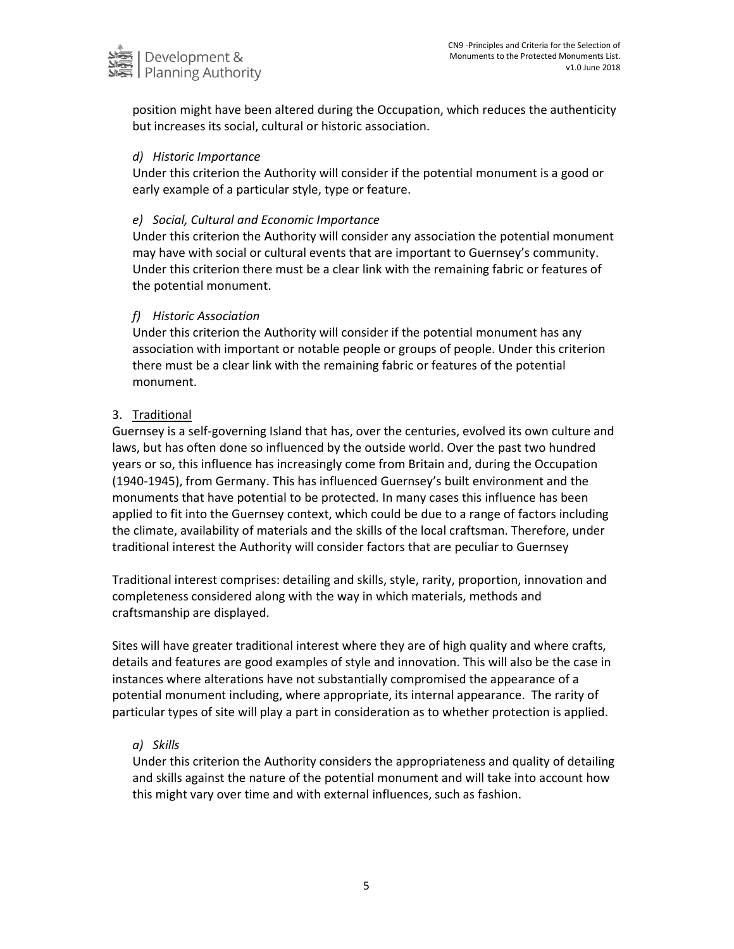

position might have been altered during the Occupation, which reduces the authenticity but increases its social, cultural or historic association.

#### *d) Historic Importance*

Under this criterion the Authority will consider if the potential monument is a good or early example of a particular style, type or feature.

### *e) Social, Cultural and Economic Importance*

Under this criterion the Authority will consider any association the potential monument may have with social or cultural events that are important to Guernsey's community. Under this criterion there must be a clear link with the remaining fabric or features of the potential monument.

## *f) Historic Association*

Under this criterion the Authority will consider if the potential monument has any association with important or notable people or groups of people. Under this criterion there must be a clear link with the remaining fabric or features of the potential monument.

## 3. Traditional

Guernsey is a self-governing Island that has, over the centuries, evolved its own culture and laws, but has often done so influenced by the outside world. Over the past two hundred years or so, this influence has increasingly come from Britain and, during the Occupation (1940-1945), from Germany. This has influenced Guernsey's built environment and the monuments that have potential to be protected. In many cases this influence has been applied to fit into the Guernsey context, which could be due to a range of factors including the climate, availability of materials and the skills of the local craftsman. Therefore, under traditional interest the Authority will consider factors that are peculiar to Guernsey

Traditional interest comprises: detailing and skills, style, rarity, proportion, innovation and completeness considered along with the way in which materials, methods and craftsmanship are displayed.

Sites will have greater traditional interest where they are of high quality and where crafts, details and features are good examples of style and innovation. This will also be the case in instances where alterations have not substantially compromised the appearance of a potential monument including, where appropriate, its internal appearance. The rarity of particular types of site will play a part in consideration as to whether protection is applied.

### *a) Skills*

Under this criterion the Authority considers the appropriateness and quality of detailing and skills against the nature of the potential monument and will take into account how this might vary over time and with external influences, such as fashion.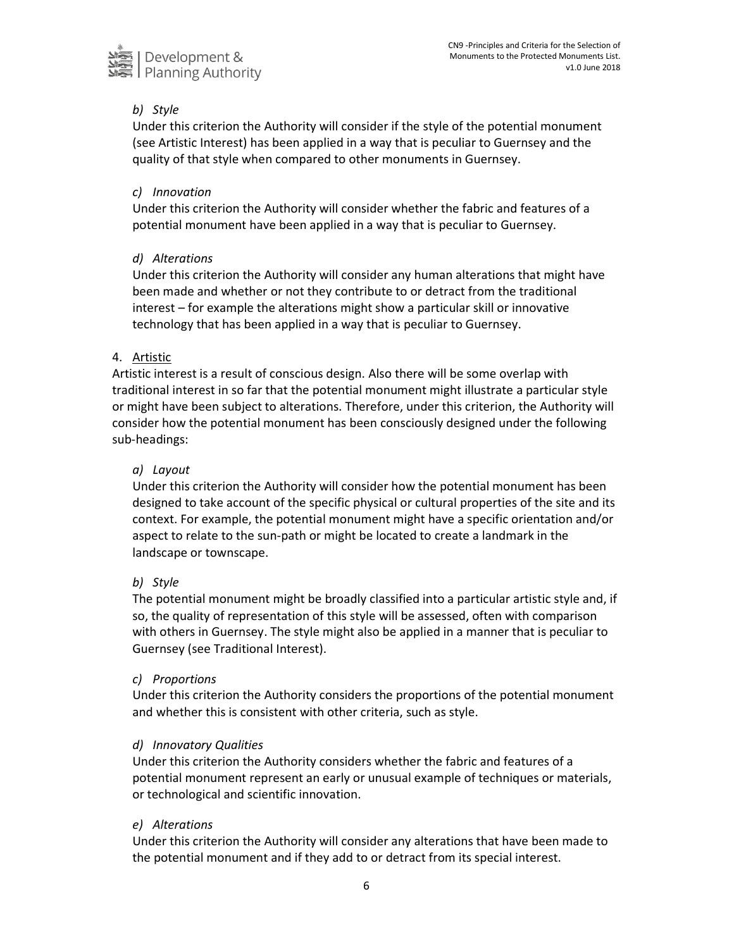

# *b) Style*

Under this criterion the Authority will consider if the style of the potential monument (see Artistic Interest) has been applied in a way that is peculiar to Guernsey and the quality of that style when compared to other monuments in Guernsey.

### *c) Innovation*

Under this criterion the Authority will consider whether the fabric and features of a potential monument have been applied in a way that is peculiar to Guernsey.

### *d) Alterations*

Under this criterion the Authority will consider any human alterations that might have been made and whether or not they contribute to or detract from the traditional interest – for example the alterations might show a particular skill or innovative technology that has been applied in a way that is peculiar to Guernsey.

#### 4. Artistic

Artistic interest is a result of conscious design. Also there will be some overlap with traditional interest in so far that the potential monument might illustrate a particular style or might have been subject to alterations. Therefore, under this criterion, the Authority will consider how the potential monument has been consciously designed under the following sub-headings:

#### *a) Layout*

Under this criterion the Authority will consider how the potential monument has been designed to take account of the specific physical or cultural properties of the site and its context. For example, the potential monument might have a specific orientation and/or aspect to relate to the sun-path or might be located to create a landmark in the landscape or townscape.

#### *b) Style*

The potential monument might be broadly classified into a particular artistic style and, if so, the quality of representation of this style will be assessed, often with comparison with others in Guernsey. The style might also be applied in a manner that is peculiar to Guernsey (see Traditional Interest).

#### *c) Proportions*

Under this criterion the Authority considers the proportions of the potential monument and whether this is consistent with other criteria, such as style.

### *d) Innovatory Qualities*

Under this criterion the Authority considers whether the fabric and features of a potential monument represent an early or unusual example of techniques or materials, or technological and scientific innovation.

### *e) Alterations*

Under this criterion the Authority will consider any alterations that have been made to the potential monument and if they add to or detract from its special interest.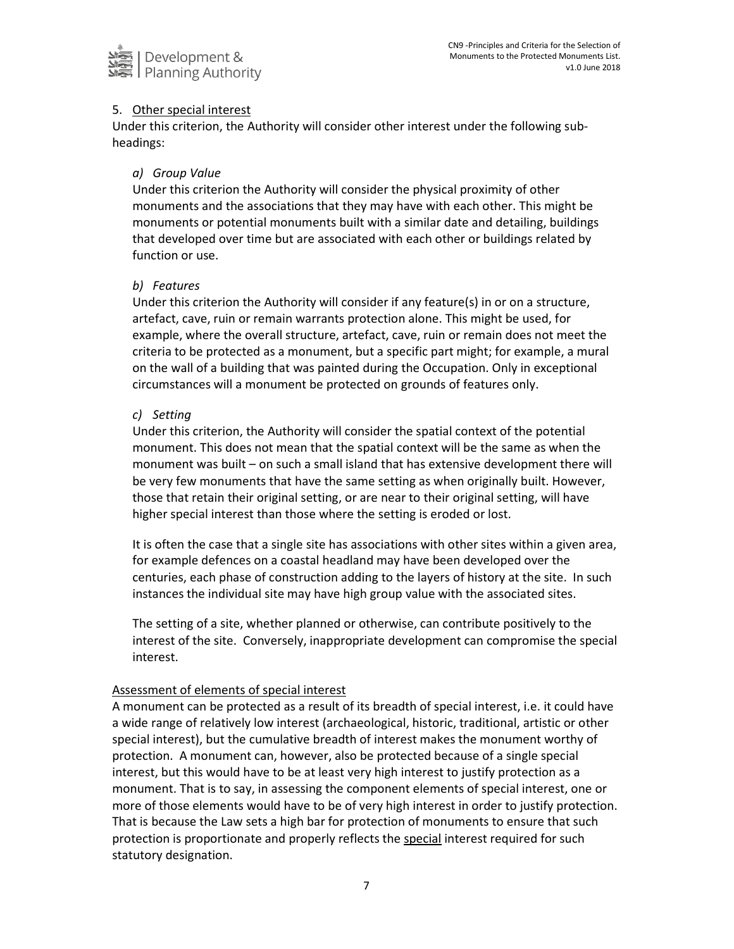

## 5. Other special interest

Under this criterion, the Authority will consider other interest under the following subheadings:

## *a) Group Value*

Under this criterion the Authority will consider the physical proximity of other monuments and the associations that they may have with each other. This might be monuments or potential monuments built with a similar date and detailing, buildings that developed over time but are associated with each other or buildings related by function or use.

## *b) Features*

Under this criterion the Authority will consider if any feature(s) in or on a structure, artefact, cave, ruin or remain warrants protection alone. This might be used, for example, where the overall structure, artefact, cave, ruin or remain does not meet the criteria to be protected as a monument, but a specific part might; for example, a mural on the wall of a building that was painted during the Occupation. Only in exceptional circumstances will a monument be protected on grounds of features only.

## *c) Setting*

Under this criterion, the Authority will consider the spatial context of the potential monument. This does not mean that the spatial context will be the same as when the monument was built – on such a small island that has extensive development there will be very few monuments that have the same setting as when originally built. However, those that retain their original setting, or are near to their original setting, will have higher special interest than those where the setting is eroded or lost.

It is often the case that a single site has associations with other sites within a given area, for example defences on a coastal headland may have been developed over the centuries, each phase of construction adding to the layers of history at the site. In such instances the individual site may have high group value with the associated sites.

The setting of a site, whether planned or otherwise, can contribute positively to the interest of the site. Conversely, inappropriate development can compromise the special interest.

### Assessment of elements of special interest

A monument can be protected as a result of its breadth of special interest, i.e. it could have a wide range of relatively low interest (archaeological, historic, traditional, artistic or other special interest), but the cumulative breadth of interest makes the monument worthy of protection. A monument can, however, also be protected because of a single special interest, but this would have to be at least very high interest to justify protection as a monument. That is to say, in assessing the component elements of special interest, one or more of those elements would have to be of very high interest in order to justify protection. That is because the Law sets a high bar for protection of monuments to ensure that such protection is proportionate and properly reflects the special interest required for such statutory designation.